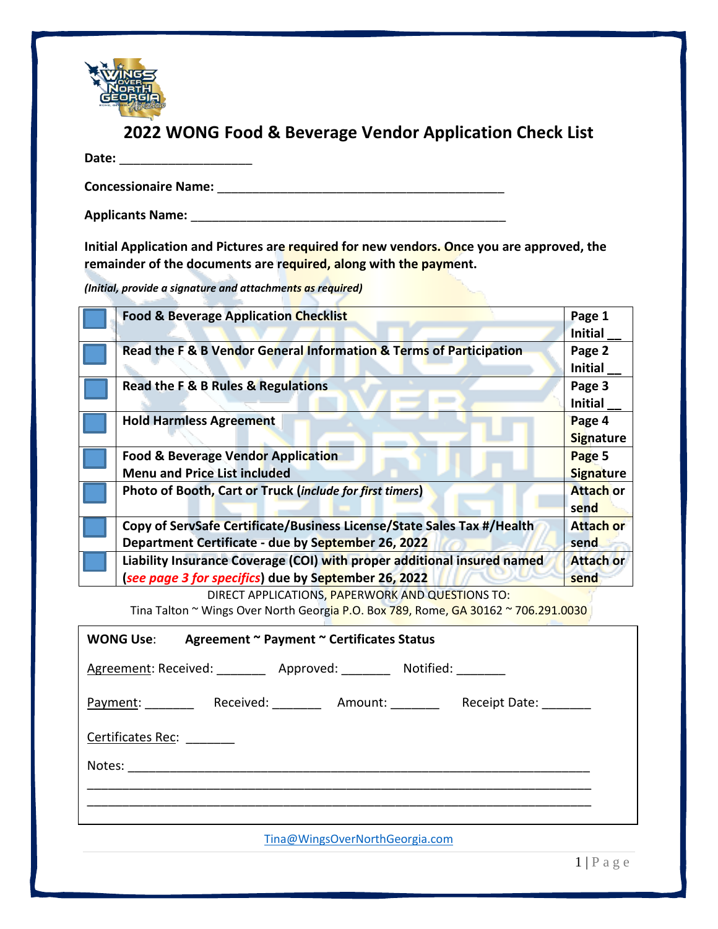

### **2022 WONG Food & Beverage Vendor Application Check List**

**Date:** \_\_\_\_\_\_\_\_\_\_\_\_\_\_\_\_\_\_\_

**Concessionaire Name:** \_\_\_\_\_\_\_\_\_\_\_\_\_\_\_\_\_\_\_\_\_\_\_\_\_\_\_\_\_\_\_\_\_\_\_\_\_\_\_\_\_

**Applicants Name:** \_\_\_\_\_\_\_\_\_\_\_\_\_\_\_\_\_\_\_\_\_\_\_\_\_\_\_\_\_\_\_\_\_\_\_\_\_\_\_\_\_\_\_\_\_

**Initial Application and Pictures are required for new vendors. Once you are approved, the remainder of the documents are required, along with the payment.** 

*(Initial, provide a signature and attachments as required)*  j

| <b>Food &amp; Beverage Application Checklist</b>                                                                                | Page 1<br><b>Initial</b>   |
|---------------------------------------------------------------------------------------------------------------------------------|----------------------------|
| Read the F & B Vendor General Information & Terms of Participation                                                              | Page 2<br><b>Initial</b>   |
| Read the F & B Rules & Regulations                                                                                              | Page 3<br><b>Initial</b>   |
| <b>Hold Harmless Agreement</b>                                                                                                  | Page 4<br><b>Signature</b> |
| <b>Food &amp; Beverage Vendor Application</b><br><b>Menu and Price List included</b>                                            | Page 5<br><b>Signature</b> |
| Photo of Booth, Cart or Truck (include for first timers)                                                                        | <b>Attach or</b><br>send   |
| Copy of ServSafe Certificate/Business License/State Sales Tax #/Health<br>Department Certificate - due by September 26, 2022    | <b>Attach or</b><br>send   |
| Liability Insurance Coverage (COI) with proper additional insured named<br>(see page 3 for specifics) due by September 26, 2022 | <b>Attach or</b><br>send   |

DIRECT APPLICATIONS, PAPERWORK AND QUESTIONS TO:

Tina Talton ~ Wings Over North Georgia P.O. Box 789, Rome, GA 30162 ~ 706.291.0030

| WONG Use: Agreement ~ Payment ~ Certificates Status                                   |
|---------------------------------------------------------------------------------------|
| Agreement: Received: _________ Approved: ________ Notified: _______                   |
| Received: ___________ Amount: ___________ Receipt Date: ________<br>Payment: ________ |
| Certificates Rec: ________                                                            |
|                                                                                       |
|                                                                                       |
| Tina@WingsOverNorthGeorgia.com                                                        |

 $1 | P a g e$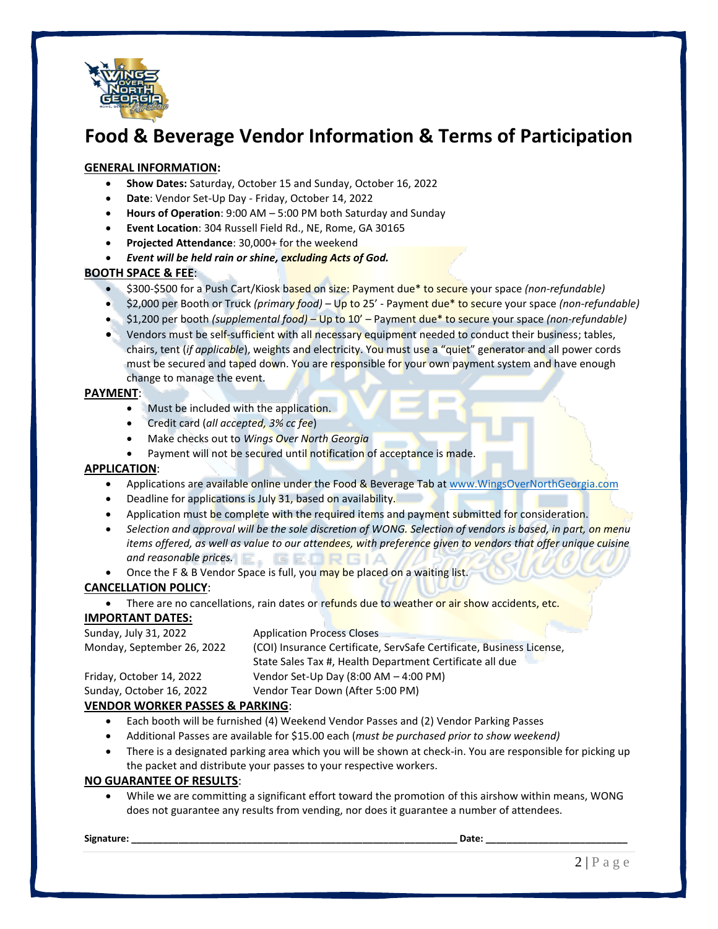

## **Food & Beverage Vendor Information & Terms of Participation**

#### **GENERAL INFORMATION:**

- **Show Dates:** Saturday, October 15 and Sunday, October 16, 2022
- **Date**: Vendor Set-Up Day Friday, October 14, 2022
- **Hours of Operation**: 9:00 AM 5:00 PM both Saturday and Sunday
- **Event Location**: 304 Russell Field Rd., NE, Rome, GA 30165
- **Projected Attendance**: 30,000+ for the weekend
- *Event will be held rain or shine, excluding Acts of God.*

#### **BOOTH SPACE & FEE**:

- \$300-\$500 for a Push Cart/Kiosk based on size: Payment due\* to secure your space *(non-refundable)*
- \$2,000 per Booth or Truck *(primary food)* Up to 25' Payment due\* to secure your space *(non-refundable)*
- \$1,200 per booth *(supplemental food)* Up to 10' Payment due\* to secure your space *(non-refundable)*
- Vendors must be self-sufficient with all necessary equipment needed to conduct their business; tables, chairs, tent (*if applicable*), weights and electricity. You must use a "quiet" generator and all power cords must be secured and taped down. You are responsible for your own payment system and have enough change to manage the event.

#### **PAYMENT**:

- Must be included with the application.
- Credit card (*all accepted, 3% cc fee*)
- Make checks out to *Wings Over North Georgia*
- Payment will not be secured until notification of acceptance is made.

#### **APPLICATION**:

- Applications are available online under the Food & Beverage Tab a[t www.WingsOverNorthGeorgia.com](http://www.wingsovernorthgeorgia.com/)
- Deadline for applications is July 31, based on availability.
- Application must be complete with the required items and payment submitted for consideration.
- *Selection and approval will be the sole discretion of WONG. Selection of vendors is based, in part, on menu items offered, as well as value to our attendees, with preference given to vendors that offer unique cuisine and reasonable prices.*
- Once the F & B Vendor Space is full, you may be placed on a waiting list.

#### **CANCELLATION POLICY**:

There are no cancellations, rain dates or refunds due to weather or air show accidents, etc.

#### **IMPORTANT DATES:**

Sunday, July 31, 2022 Application Process Closes Monday, September 26, 2022 (COI) Insurance Certificate, ServSafe Certificate, Business License, State Sales Tax #, Health Department Certificate all due Friday, October 14, 2022 Vendor Set-Up Day (8:00 AM – 4:00 PM) Sunday, October 16, 2022 Vendor Tear Down (After 5:00 PM)

#### **VENDOR WORKER PASSES & PARKING**:

- Each booth will be furnished (4) Weekend Vendor Passes and (2) Vendor Parking Passes
- Additional Passes are available for \$15.00 each (*must be purchased prior to show weekend)*
- There is a designated parking area which you will be shown at check-in. You are responsible for picking up the packet and distribute your passes to your respective workers.

#### **NO GUARANTEE OF RESULTS**:

• While we are committing a significant effort toward the promotion of this airshow within means, WONG does not guarantee any results from vending, nor does it guarantee a number of attendees.

**Signature: \_\_\_\_\_\_\_\_\_\_\_\_\_\_\_\_\_\_\_\_\_\_\_\_\_\_\_\_\_\_\_\_\_\_\_\_\_\_\_\_\_\_\_\_\_\_\_\_\_\_\_\_\_\_\_\_\_\_\_\_\_\_ Date: \_\_\_\_\_\_\_\_\_\_\_\_\_\_\_\_\_\_\_\_\_\_\_\_\_\_\_**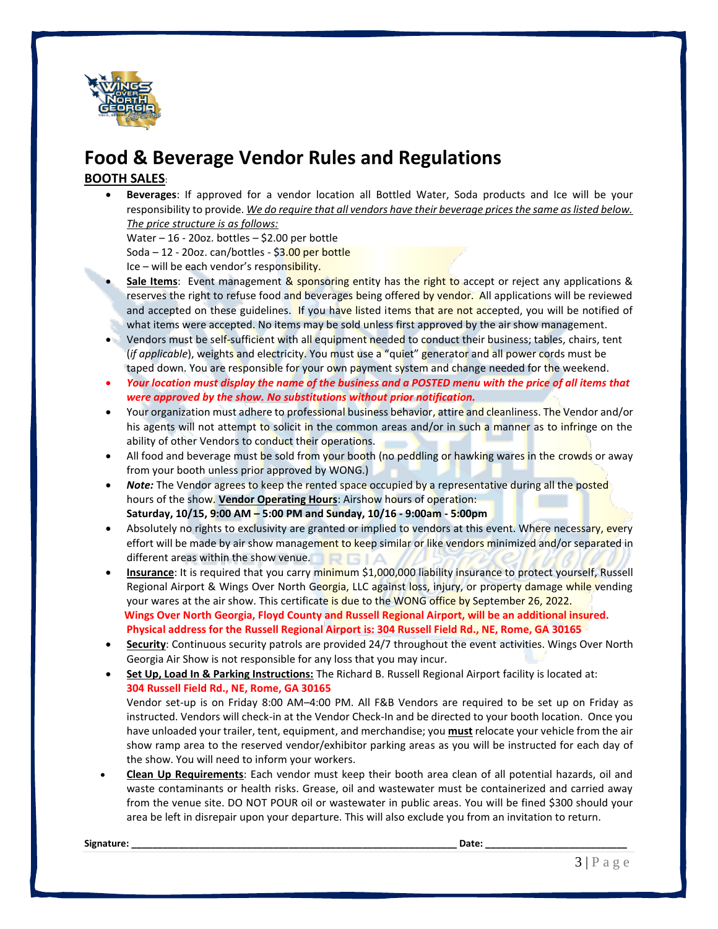

## **Food & Beverage Vendor Rules and Regulations**

#### **BOOTH SALES**:

• **Beverages**: If approved for a vendor location all Bottled Water, Soda products and Ice will be your responsibility to provide. *We do require that all vendors have their beverage prices the same as listed below. The price structure is as follows:*

Water – 16 - 20oz. bottles – \$2.00 per bottle Soda – 12 - 20oz. can/bottles - \$3.00 per bottle Ice – will be each vendor's responsibility.

- **Sale Items**: Event management & sponsoring entity has the right to accept or reject any applications & reserves the right to refuse food and beverages being offered by vendor. All applications will be reviewed and accepted on these guidelines. If you have listed items that are not accepted, you will be notified of what items were accepted. No items may be sold unless first approved by the air show management.
- Vendors must be self-sufficient with all equipment needed to conduct their business; tables, chairs, tent (*if applicable*), weights and electricity. You must use a "quiet" generator and all power cords must be taped down. You are responsible for your own payment system and change needed for the weekend.
- *Your location must display the name of the business and a POSTED menu with the price of all items that were approved by the show. No substitutions without prior notification.*
- Your organization must adhere to professional business behavior, attire and cleanliness. The Vendor and/or his agents will not attempt to solicit in the common areas and/or in such a manner as to infringe on the ability of other Vendors to conduct their operations.
- All food and beverage must be sold from your booth (no peddling or hawking wares in the crowds or away from your booth unless prior approved by WONG.)
- **Note:** The Vendor agrees to keep the rented space occupied by a representative during all the posted hours of the show. **Vendor Operating Hours**: Airshow hours of operation: **Saturday, 10/15, 9:00 AM – 5:00 PM and Sunday, 10/16 - 9:00am - 5:00pm**
- Absolutely no rights to exclusivity are granted or implied to vendors at this event. Where necessary, every effort will be made by air show management to keep similar or like vendors minimized and/or separated in different areas within the show venue.
- **Insurance**: It is required that you carry minimum \$1,000,000 liability insurance to protect yourself, Russell Regional Airport & Wings Over North Georgia, LLC against loss, injury, or property damage while vending your wares at the air show. This certificate is due to the WONG office by September 26, 2022. **Wings Over North Georgia, Floyd County and Russell Regional Airport, will be an additional insured. Physical address for the Russell Regional Airport is: 304 Russell Field Rd., NE, Rome, GA 30165**
- **Security**: Continuous security patrols are provided 24/7 throughout the event activities. Wings Over North Georgia Air Show is not responsible for any loss that you may incur.
- **Set Up, Load In & Parking Instructions:** The Richard B. Russell Regional Airport facility is located at: **304 Russell Field Rd., NE, Rome, GA 30165**

Vendor set-up is on Friday 8:00 AM–4:00 PM. All F&B Vendors are required to be set up on Friday as instructed. Vendors will check-in at the Vendor Check-In and be directed to your booth location. Once you have unloaded your trailer, tent, equipment, and merchandise; you **must** relocate your vehicle from the air show ramp area to the reserved vendor/exhibitor parking areas as you will be instructed for each day of the show. You will need to inform your workers.

• **Clean Up Requirements**: Each vendor must keep their booth area clean of all potential hazards, oil and waste contaminants or health risks. Grease, oil and wastewater must be containerized and carried away from the venue site. DO NOT POUR oil or wastewater in public areas. You will be fined \$300 should your area be left in disrepair upon your departure. This will also exclude you from an invitation to return.

**Signature: \_\_\_\_\_\_\_\_\_\_\_\_\_\_\_\_\_\_\_\_\_\_\_\_\_\_\_\_\_\_\_\_\_\_\_\_\_\_\_\_\_\_\_\_\_\_\_\_\_\_\_\_\_\_\_\_\_\_\_\_\_\_ Date: \_\_\_\_\_\_\_\_\_\_\_\_\_\_\_\_\_\_\_\_\_\_\_\_\_\_\_**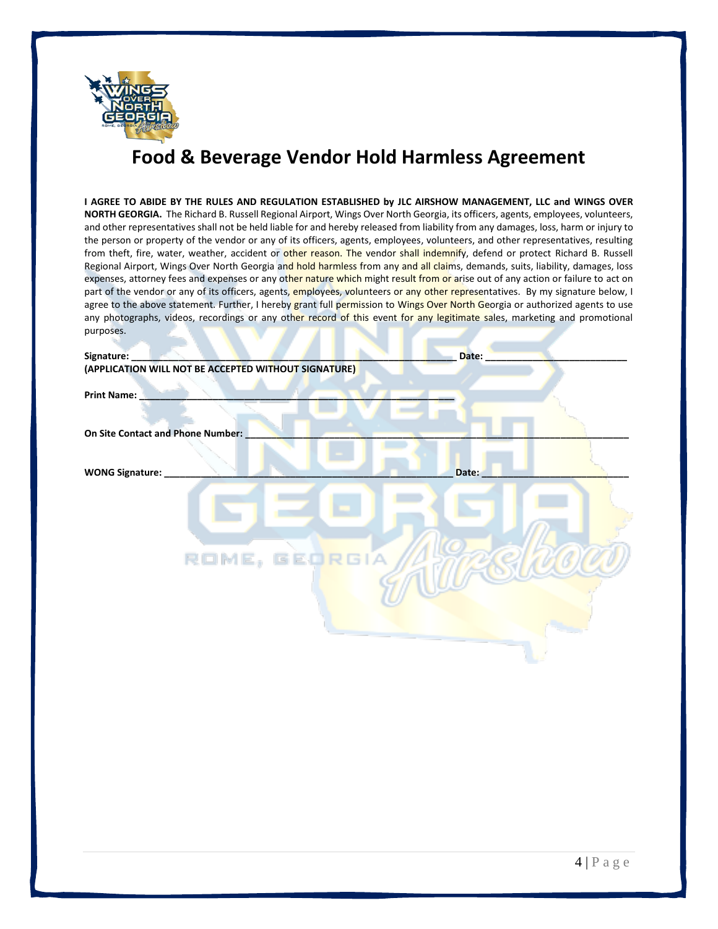

# **Food & Beverage Vendor Hold Harmless Agreement**

| I AGREE TO ABIDE BY THE RULES AND REGULATION ESTABLISHED by JLC AIRSHOW MANAGEMENT, LLC and WINGS OVER<br>NORTH GEORGIA. The Richard B. Russell Regional Airport, Wings Over North Georgia, its officers, agents, employees, volunteers,<br>and other representatives shall not be held liable for and hereby released from liability from any damages, loss, harm or injury to<br>the person or property of the vendor or any of its officers, agents, employees, volunteers, and other representatives, resulting<br>from theft, fire, water, weather, accident or other reason. The vendor shall indemnify, defend or protect Richard B. Russell<br>Regional Airport, Wings Over North Georgia and hold harmless from any and all claims, demands, suits, liability, damages, loss<br>expenses, attorney fees and expenses or any other nature which might result from or arise out of any action or failure to act on<br>part of the vendor or any of its officers, agents, employees, volunteers or any other representatives. By my signature below, I<br>agree to the above statement. Further, I hereby grant full permission to Wings Over North Georgia or authorized agents to use<br>any photographs, videos, recordings or any other record of this event for any legitimate sales, marketing and promotional<br>purposes. |       |
|-----------------------------------------------------------------------------------------------------------------------------------------------------------------------------------------------------------------------------------------------------------------------------------------------------------------------------------------------------------------------------------------------------------------------------------------------------------------------------------------------------------------------------------------------------------------------------------------------------------------------------------------------------------------------------------------------------------------------------------------------------------------------------------------------------------------------------------------------------------------------------------------------------------------------------------------------------------------------------------------------------------------------------------------------------------------------------------------------------------------------------------------------------------------------------------------------------------------------------------------------------------------------------------------------------------------------------------------|-------|
| Signature:                                                                                                                                                                                                                                                                                                                                                                                                                                                                                                                                                                                                                                                                                                                                                                                                                                                                                                                                                                                                                                                                                                                                                                                                                                                                                                                              | Date: |
| (APPLICATION WILL NOT BE ACCEPTED WITHOUT SIGNATURE)                                                                                                                                                                                                                                                                                                                                                                                                                                                                                                                                                                                                                                                                                                                                                                                                                                                                                                                                                                                                                                                                                                                                                                                                                                                                                    |       |
| <b>Print Name:</b>                                                                                                                                                                                                                                                                                                                                                                                                                                                                                                                                                                                                                                                                                                                                                                                                                                                                                                                                                                                                                                                                                                                                                                                                                                                                                                                      |       |
|                                                                                                                                                                                                                                                                                                                                                                                                                                                                                                                                                                                                                                                                                                                                                                                                                                                                                                                                                                                                                                                                                                                                                                                                                                                                                                                                         |       |
| On Site Contact and Phone Number:                                                                                                                                                                                                                                                                                                                                                                                                                                                                                                                                                                                                                                                                                                                                                                                                                                                                                                                                                                                                                                                                                                                                                                                                                                                                                                       |       |
|                                                                                                                                                                                                                                                                                                                                                                                                                                                                                                                                                                                                                                                                                                                                                                                                                                                                                                                                                                                                                                                                                                                                                                                                                                                                                                                                         |       |
| <b>WONG Signature:</b>                                                                                                                                                                                                                                                                                                                                                                                                                                                                                                                                                                                                                                                                                                                                                                                                                                                                                                                                                                                                                                                                                                                                                                                                                                                                                                                  | Date: |
| ROME, GEORGIA                                                                                                                                                                                                                                                                                                                                                                                                                                                                                                                                                                                                                                                                                                                                                                                                                                                                                                                                                                                                                                                                                                                                                                                                                                                                                                                           |       |
|                                                                                                                                                                                                                                                                                                                                                                                                                                                                                                                                                                                                                                                                                                                                                                                                                                                                                                                                                                                                                                                                                                                                                                                                                                                                                                                                         |       |
|                                                                                                                                                                                                                                                                                                                                                                                                                                                                                                                                                                                                                                                                                                                                                                                                                                                                                                                                                                                                                                                                                                                                                                                                                                                                                                                                         |       |
|                                                                                                                                                                                                                                                                                                                                                                                                                                                                                                                                                                                                                                                                                                                                                                                                                                                                                                                                                                                                                                                                                                                                                                                                                                                                                                                                         |       |
|                                                                                                                                                                                                                                                                                                                                                                                                                                                                                                                                                                                                                                                                                                                                                                                                                                                                                                                                                                                                                                                                                                                                                                                                                                                                                                                                         |       |
|                                                                                                                                                                                                                                                                                                                                                                                                                                                                                                                                                                                                                                                                                                                                                                                                                                                                                                                                                                                                                                                                                                                                                                                                                                                                                                                                         |       |